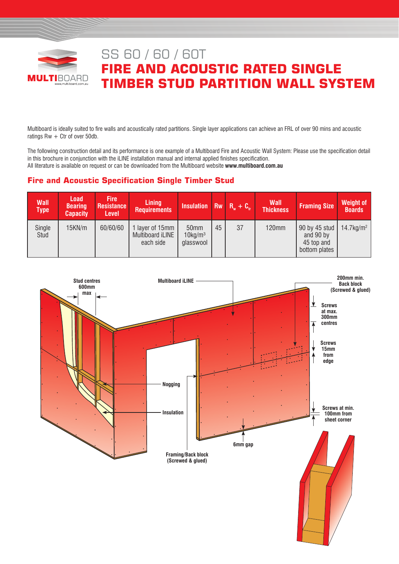

# SS 60 / 60 / 60T **FIRE AND ACOUSTIC RATED SINGLE TIMBER STUD PARTITION WALL SYSTEM**

Multiboard is ideally suited to fire walls and acoustically rated partitions. Single layer applications can achieve an FRL of over 90 mins and acoustic ratings  $Rw + Ctr$  of over 50db.

The following construction detail and its performance is one example of a Multiboard Fire and Acoustic Wall System: Please use the specification detail in this brochure in conjunction with the iLINE installation manual and internal applied finishes specification. All literature is available on request or can be downloaded from the Multiboard website **www.multiboard.com.au**

# **Fire and Acoustic Specification Single Timber Stud**

| <b>Wall</b><br><b>Type</b> | <b>Load</b><br><b>Bearing</b><br><b>Capacity</b> | <b>Fire</b><br><b>Resistance</b><br><b>Level</b> | <b>Lining</b><br><b>Requirements</b>             | Insulation Rw $R_w + C_w$                   |    |    | <b>Wall</b><br><b>Thickness</b> | <b>Framing Size</b>                                       | <b>Weight of</b><br><b>Boards</b> |
|----------------------------|--------------------------------------------------|--------------------------------------------------|--------------------------------------------------|---------------------------------------------|----|----|---------------------------------|-----------------------------------------------------------|-----------------------------------|
| Single<br>Stud             | 15KN/m                                           | 60/60/60                                         | 1 layer of 15mm<br>Multiboard iLINE<br>each side | 50mm<br>$10$ kg/m <sup>3</sup><br>glasswool | 45 | 37 | <b>120mm</b>                    | 90 by 45 stud<br>and 90 by<br>45 top and<br>bottom plates | $14.7$ kg/m <sup>2</sup>          |